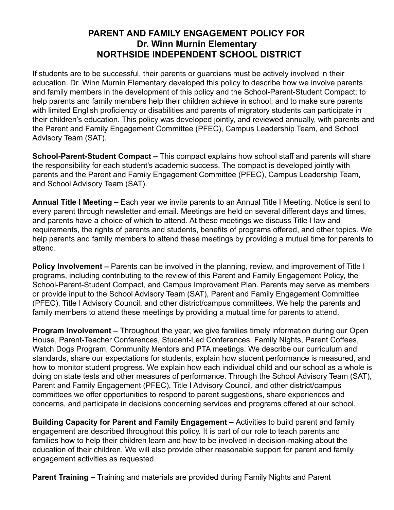## **PARENT AND FAMILY ENGAGEMENT POLICY FOR Dr. Winn Murnin Elementary NORTHSIDE INDEPENDENT SCHOOL DISTRICT**

If students are to be successful, their parents or guardians must be actively involved in their education. Dr. Winn Murnin Elementary developed this policy to describe how we involve parents and family members in the development of this policy and the School-Parent-Student Compact; to help parents and family members help their children achieve in school; and to make sure parents with limited English proficiency or disabilities and parents of migratory students can participate in their children's education. This policy was developed jointly, and reviewed annually, with parents and the Parent and Family Engagement Committee (PFEC), Campus Leadership Team, and School Advisory Team (SAT).

**School-Parent-Student Compact –** This compact explains how school staff and parents will share the responsibility for each student's academic success. The compact is developed jointly with parents and the Parent and Family Engagement Committee (PFEC), Campus Leadership Team, and School Advisory Team (SAT).

**Annual Title I Meeting –** Each year we invite parents to an Annual Title I Meeting. Notice is sent to every parent through newsletter and email. Meetings are held on several different days and times, and parents have a choice of which to attend. At these meetings we discuss Title I law and requirements, the rights of parents and students, benefits of programs offered, and other topics. We help parents and family members to attend these meetings by providing a mutual time for parents to attend.

**Policy Involvement –** Parents can be involved in the planning, review, and improvement of Title I programs, including contributing to the review of this Parent and Family Engagement Policy, the School-Parent-Student Compact, and Campus Improvement Plan. Parents may serve as members or provide input to the School Advisory Team (SAT), Parent and Family Engagement Committee (PFEC), Title I Advisory Council, and other district/campus committees. We help the parents and family members to attend these meetings by providing a mutual time for parents to attend.

**Program Involvement –** Throughout the year, we give families timely information during our Open House, Parent-Teacher Conferences, Student-Led Conferences, Family Nights, Parent Coffees, Watch Dogs Program, Community Mentors and PTA meetings. We describe our curriculum and standards, share our expectations for students, explain how student performance is measured, and how to monitor student progress. We explain how each individual child and our school as a whole is doing on state tests and other measures of performance. Through the School Advisory Team (SAT), Parent and Family Engagement (PFEC), Title I Advisory Council, and other district/campus committees we offer opportunities to respond to parent suggestions, share experiences and concerns, and participate in decisions concerning services and programs offered at our school.

**Building Capacity for Parent and Family Engagement –** Activities to build parent and family engagement are described throughout this policy. It is part of our role to teach parents and families how to help their children learn and how to be involved in decision-making about the education of their children. We will also provide other reasonable support for parent and family engagement activities as requested.

**Parent Training –** Training and materials are provided during Family Nights and Parent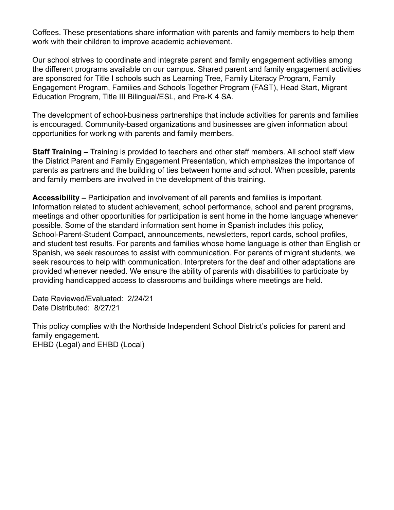Coffees. These presentations share information with parents and family members to help them work with their children to improve academic achievement.

Our school strives to coordinate and integrate parent and family engagement activities among the different programs available on our campus. Shared parent and family engagement activities are sponsored for Title I schools such as Learning Tree, Family Literacy Program, Family Engagement Program, Families and Schools Together Program (FAST), Head Start, Migrant Education Program, Title III Bilingual/ESL, and Pre-K 4 SA.

The development of school-business partnerships that include activities for parents and families is encouraged. Community-based organizations and businesses are given information about opportunities for working with parents and family members.

**Staff Training –** Training is provided to teachers and other staff members. All school staff view the District Parent and Family Engagement Presentation, which emphasizes the importance of parents as partners and the building of ties between home and school. When possible, parents and family members are involved in the development of this training.

**Accessibility –** Participation and involvement of all parents and families is important. Information related to student achievement, school performance, school and parent programs, meetings and other opportunities for participation is sent home in the home language whenever possible. Some of the standard information sent home in Spanish includes this policy, School-Parent-Student Compact, announcements, newsletters, report cards, school profiles, and student test results. For parents and families whose home language is other than English or Spanish, we seek resources to assist with communication. For parents of migrant students, we seek resources to help with communication. Interpreters for the deaf and other adaptations are provided whenever needed. We ensure the ability of parents with disabilities to participate by providing handicapped access to classrooms and buildings where meetings are held.

Date Reviewed/Evaluated: 2/24/21 Date Distributed: 8/27/21

This policy complies with the Northside Independent School District's policies for parent and family engagement. EHBD (Legal) and EHBD (Local)